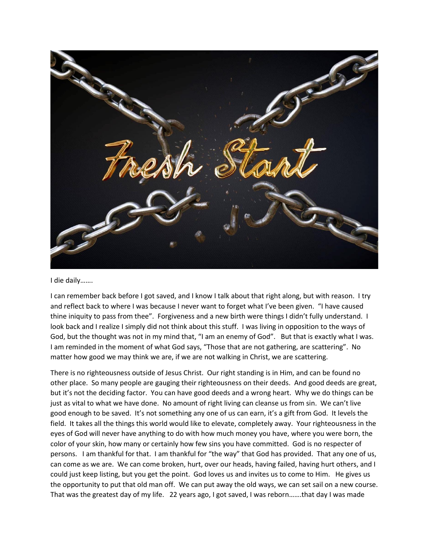

I die daily…….

I can remember back before I got saved, and I know I talk about that right along, but with reason. I try and reflect back to where I was because I never want to forget what I've been given. "I have caused thine iniquity to pass from thee". Forgiveness and a new birth were things I didn't fully understand. I look back and I realize I simply did not think about this stuff. I was living in opposition to the ways of God, but the thought was not in my mind that, "I am an enemy of God". But that is exactly what I was. I am reminded in the moment of what God says, "Those that are not gathering, are scattering". No matter how good we may think we are, if we are not walking in Christ, we are scattering.

There is no righteousness outside of Jesus Christ. Our right standing is in Him, and can be found no other place. So many people are gauging their righteousness on their deeds. And good deeds are great, but it's not the deciding factor. You can have good deeds and a wrong heart. Why we do things can be just as vital to what we have done. No amount of right living can cleanse us from sin. We can't live good enough to be saved. It's not something any one of us can earn, it's a gift from God. It levels the field. It takes all the things this world would like to elevate, completely away. Your righteousness in the eyes of God will never have anything to do with how much money you have, where you were born, the color of your skin, how many or certainly how few sins you have committed. God is no respecter of persons. I am thankful for that. I am thankful for "the way" that God has provided. That any one of us, can come as we are. We can come broken, hurt, over our heads, having failed, having hurt others, and I could just keep listing, but you get the point. God loves us and invites us to come to Him. He gives us the opportunity to put that old man off. We can put away the old ways, we can set sail on a new course. That was the greatest day of my life. 22 years ago, I got saved, I was reborn…….that day I was made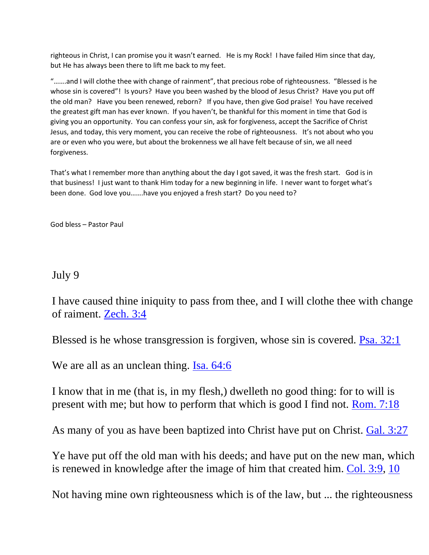righteous in Christ, I can promise you it wasn't earned. He is my Rock! I have failed Him since that day, but He has always been there to lift me back to my feet.

"…….and I will clothe thee with change of rainment", that precious robe of righteousness. "Blessed is he whose sin is covered"! Is yours? Have you been washed by the blood of Jesus Christ? Have you put off the old man? Have you been renewed, reborn? If you have, then give God praise! You have received the greatest gift man has ever known. If you haven't, be thankful for this moment in time that God is giving you an opportunity. You can confess your sin, ask for forgiveness, accept the Sacrifice of Christ Jesus, and today, this very moment, you can receive the robe of righteousness. It's not about who you are or even who you were, but about the brokenness we all have felt because of sin, we all need forgiveness.

That's what I remember more than anything about the day I got saved, it was the fresh start. God is in that business! I just want to thank Him today for a new beginning in life. I never want to forget what's been done. God love you…….have you enjoyed a fresh start? Do you need to?

God bless – Pastor Paul

July 9

I have caused thine iniquity to pass from thee, and I will clothe thee with change of raiment. [Zech. 3:4](https://biblia.com/bible/nkjv/Zech.%203.4)

Blessed is he whose transgression is forgiven, whose sin is covered. [Psa. 32:1](https://biblia.com/bible/nkjv/Ps.%2032.1)

We are all as an unclean thing. Isa.  $64:6$ 

I know that in me (that is, in my flesh,) dwelleth no good thing: for to will is present with me; but how to perform that which is good I find not. [Rom. 7:18](https://biblia.com/bible/nkjv/Rom.%207.18)

As many of you as have been baptized into Christ have put on Christ. [Gal. 3:27](https://biblia.com/bible/nkjv/Gal.%203.27)

Ye have put off the old man with his deeds; and have put on the new man, which is renewed in knowledge after the image of him that created him. [Col. 3:9,](https://biblia.com/bible/nkjv/Col.%203.9) [10](https://biblia.com/bible/nkjv/Col%203.10)

Not having mine own righteousness which is of the law, but ... the righteousness